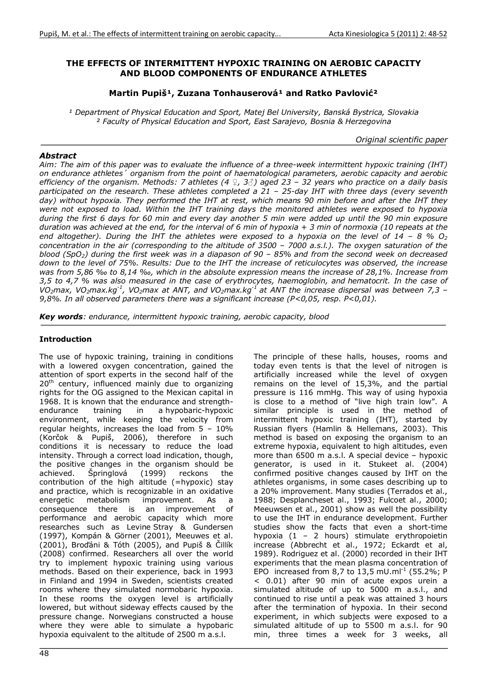## THE EFFECTS OF INTERMITTENT HYPOXIC TRAINING ON AEROBIC CAPACITY AND BLOOD COMPONENTS OF ENDURANCE ATHLETES

## Martin Pupiš<sup>1</sup>, Zuzana Tonhauserová<sup>1</sup> and Ratko Pavlović<sup>2</sup>

<sup>1</sup> Department of Physical Education and Sport, Matej Bel University, Banská Bystrica, Slovakia ² *Faculty of Physical Education and Sport, East Sarajevo, Bosnia & Herzegovina*

*Original scientific paper*

#### *Abstract*

*Aim: The aim of this paper was to evaluate the influence of a three-week intermittent hypoxic training (IHT) on endurance athletes´ organism from the point of haematological parameters, aerobic capacity and aerobic efficiency of the organism. Methods: 7 athletes (4 Ƃ, 3ƃ) aged 23 – 32 years who practice on a daily basis participated on the research. These athletes completed a 21 – 25-day IHT with three days (every seventh day) without hypoxia. They performed the IHT at rest, which means 90 min before and after the IHT they were not exposed to load. Within the IHT training days the monitored athletes were exposed to hypoxia during the first 6 days for 60 min and every day another 5 min were added up until the 90 min exposure duration was achieved at the end, for the interval of 6 min of hypoxia + 3 min of normoxia (10 repeats at the*  end altogether). During the IHT the athletes were exposed to a hypoxia on the level of  $14 - 8 %$  O<sub>2</sub> *concentration in the air (corresponding to the altitude of 3500 – 7000 a.s.l.). The oxygen saturation of the blood (SpO2) during the first week was in a diapason of 90 – 85% and from the second week on decreased down to the level of 75%. Results: Due to the IHT the increase of reticulocytes was observed, the increase was from 5,86 ‰ to 8,14 ‰, which in the absolute expression means the increase of 28,1%. Increase from 3,5 to 4,7 % was also measured in the case of erythrocytes, haemoglobin, and hematocrit. In the case of VO2max, VO2max.kg-1, VO2max at ANT, and VO2max.kg-1 at ANT the increase dispersal was between 7,3 – 9,8%. In all observed parameters there was a significant increase (P<0,05, resp. P<0,01).*

*Key words: endurance, intermittent hypoxic training, aerobic capacity, blood*

### Introduction

The use of hypoxic training, training in conditions with a lowered oxygen concentration, gained the attention of sport experts in the second half of the 20<sup>th</sup> century, influenced mainly due to organizing rights for the OG assigned to the Mexican capital in 1968. It is known that the endurance and strengthendurance training in a hypobaric-hypoxic environment, while keeping the velocity from regular heights, increases the load from 5 – 10% (Korčok & Pupiš, 2006), therefore in such conditions it is necessary to reduce the load intensity. Through a correct load indication, though, the positive changes in the organism should be achieved. Springlová (1999) reckons the contribution of the high altitude (=hypoxic) stay and practice, which is recognizable in an oxidative energetic metabolism improvement. As a consequence there is an improvement of performance and aerobic capacity which more researches such as Levine Stray & Gundersen (1997), Kompán & Görner (2001), Meeuwes et al.  $(2001)$ , Brodáni & Tóth  $(2005)$ , and Pupiš & Čillík (2008) confirmed. Researchers all over the world try to implement hypoxic training using various methods. Based on their experience, back in 1993 in Finland and 1994 in Sweden, scientists created rooms where they simulated normobaric hypoxia. In these rooms the oxygen level is artificially lowered, but without sideway effects caused by the pressure change. Norwegians constructed a house where they were able to simulate a hypobaric hypoxia equivalent to the altitude of 2500 m a.s.l.

The principle of these halls, houses, rooms and today even tents is that the level of nitrogen is artificially increased while the level of oxygen remains on the level of 15,3%, and the partial pressure is 116 mmHg. This way of using hypoxia is close to a method of "live high train low". A similar principle is used in the method of intermittent hypoxic training (IHT), started by Russian flyers (Hamlin & Hellemans, 2003). This method is based on exposing the organism to an extreme hypoxia, equivalent to high altitudes, even more than 6500 m a.s.l. A special device – hypoxic generator, is used in it. Stukeet al. (2004) confirmed positive changes caused by IHT on the athletes organisms, in some cases describing up to a 20% improvement. Many studies (Terrados et al., 1988; Desplancheset al., 1993; Fulcoet al., 2000; Meeuwsen et al., 2001) show as well the possibility to use the IHT in endurance development. Further studies show the facts that even a short-time hypoxia (1 – 2 hours) stimulate erythropoietin increase (Abbrecht et al., 1972; Eckardt et al, 1989). Rodriguez et al. (2000) recorded in their IHT experiments that the mean plasma concentration of EPO increased from 8.7 to 13.5 mU.ml<sup>-1</sup> (55.2%; P < 0.01) after 90 min of acute expos urein a simulated altitude of up to 5000 m a.s.l., and continued to rise until a peak was attained 3 hours after the termination of hypoxia. In their second experiment, in which subjects were exposed to a simulated altitude of up to 5500 m a.s.l. for 90 min, three times a week for 3 weeks, all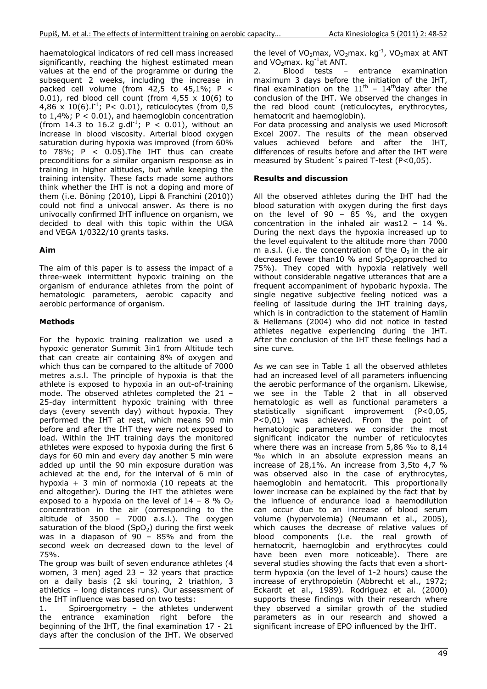haematological indicators of red cell mass increased significantly, reaching the highest estimated mean values at the end of the programme or during the subsequent 2 weeks, including the increase in packed cell volume (from  $42,5$  to  $45,1\%$ ; P < 0.01), red blood cell count (from  $4,55 \times 10(6)$  to 4,86 x 10(6). $I^{-1}$ ; P< 0.01), reticulocytes (from 0,5 to  $1,4\%$ ;  $P < 0.01$ ), and haemoglobin concentration (from 14.3 to 16.2 g.dl<sup>-1</sup>; P < 0.01), without an increase in blood viscosity. Arterial blood oxygen saturation during hypoxia was improved (from 60% to  $78\%$ ; P < 0.05). The IHT thus can create preconditions for a similar organism response as in training in higher altitudes, but while keeping the training intensity. These facts made some authors think whether the IHT is not a doping and more of them (i.e. Böning (2010), Lippi & Franchini (2010)) could not find a univocal answer. As there is no univocally confirmed IHT influence on organism, we decided to deal with this topic within the UGA and VEGA 1/0322/10 grants tasks.

# Aim

The aim of this paper is to assess the impact of a three-week intermittent hypoxic training on the organism of endurance athletes from the point of hematologic parameters, aerobic capacity and aerobic performance of organism.

# Methods

For the hypoxic training realization we used a hypoxic generator Summit 3in1 from Altitude tech that can create air containing 8% of oxygen and which thus can be compared to the altitude of 7000 metres a.s.l. The principle of hypoxia is that the athlete is exposed to hypoxia in an out-of-training mode. The observed athletes completed the 21 – 25-day intermittent hypoxic training with three days (every seventh day) without hypoxia. They performed the IHT at rest, which means 90 min before and after the IHT they were not exposed to load. Within the IHT training days the monitored athletes were exposed to hypoxia during the first 6 days for 60 min and every day another 5 min were added up until the 90 min exposure duration was achieved at the end, for the interval of 6 min of hypoxia + 3 min of normoxia (10 repeats at the end altogether). During the IHT the athletes were exposed to a hypoxia on the level of  $14 - 8$  % O<sub>2</sub> concentration in the air (corresponding to the altitude of 3500 – 7000 a.s.l.). The oxygen saturation of the blood  $(SpO<sub>2</sub>)$  during the first week was in a diapason of  $90 - 85\%$  and from the second week on decreased down to the level of 75%.

The group was built of seven endurance athletes (4 women, 3 men) aged 23 – 32 years that practice on a daily basis (2 ski touring, 2 triathlon, 3 athletics – long distances runs). Our assessment of the IHT influence was based on two tests:

1. Spiroergometry – the athletes underwent the entrance examination right before the beginning of the IHT, the final examination 17 - 21 days after the conclusion of the IHT. We observed the level of VO<sub>2</sub>max, VO<sub>2</sub>max. kg<sup>-1</sup>, VO<sub>2</sub>max at ANT and VO<sub>2</sub>max. kg<sup>-1</sup>at ANT.<br>2. Blood tests -

2. Blood tests – entrance examination maximum 3 days before the initiation of the IHT, final examination on the  $11<sup>th</sup>$  –  $14<sup>th</sup>$  day after the conclusion of the IHT. We observed the changes in the red blood count (reticulocytes, erythrocytes, hematocrit and haemoglobin).

For data processing and analysis we used Microsoft Excel 2007. The results of the mean observed values achieved before and after the IHT, differences of results before and after the IHT were measured by Student´s paired T-test (P<0,05).

## Results and discussion

All the observed athletes during the IHT had the blood saturation with oxygen during the first days on the level of 90 -  $85$  %, and the oxygen concentration in the inhaled air was12 -  $14\degree\%$ . During the next days the hypoxia increased up to the level equivalent to the altitude more than 7000 m a.s.l. (i.e. the concentration of the  $O<sub>2</sub>$  in the air decreased fewer than10  $%$  and SpO<sub>2</sub>approached to 75%). They coped with hypoxia relatively well without considerable negative utterances that are a frequent accompaniment of hypobaric hypoxia. The single negative subjective feeling noticed was a feeling of lassitude during the IHT training days, which is in contradiction to the statement of Hamlin & Hellemans (2004) who did not notice in tested athletes negative experiencing during the IHT. After the conclusion of the IHT these feelings had a sine curve.

As we can see in Table 1 all the observed athletes had an increased level of all parameters influencing the aerobic performance of the organism. Likewise, we see in the Table 2 that in all observed hematologic as well as functional parameters a statistically significant improvement (P<0,05, P<0,01) was achieved. From the point of hematologic parameters we consider the most significant indicator the number of reticulocytes where there was an increase from 5,86 ‰ to 8,14 ‰ which in an absolute expression means an increase of 28,1%. An increase from 3,5to 4,7 % was observed also in the case of erythrocytes, haemoglobin and hematocrit. This proportionally lower increase can be explained by the fact that by the influence of endurance load a haemodilution can occur due to an increase of blood serum volume (hypervolemia) (Neumann et al., 2005), which causes the decrease of relative values of blood components (i.e. the real growth of hematocrit, haemoglobin and erythrocytes could have been even more noticeable). There are several studies showing the facts that even a shortterm hypoxia (on the level of 1-2 hours) cause the increase of erythropoietin (Abbrecht et al., 1972; Eckardt et al., 1989). Rodriguez et al. (2000) supports these findings with their research where they observed a similar growth of the studied parameters as in our research and showed a significant increase of EPO influenced by the IHT.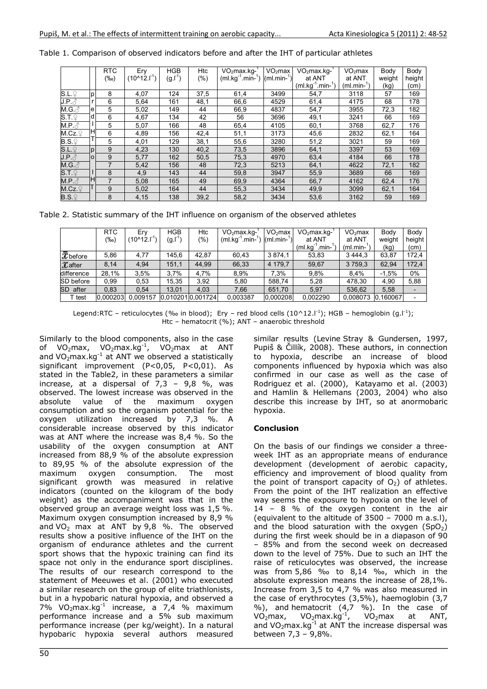|                                 |                | <b>RTC</b> | Ery                  | <b>HGB</b> | Htc     | $VO2max.kg-$            | VO <sub>2</sub> max | VO <sub>2</sub> max.kg- | VO <sub>2</sub> max | Body   | Body   |
|---------------------------------|----------------|------------|----------------------|------------|---------|-------------------------|---------------------|-------------------------|---------------------|--------|--------|
|                                 |                | $(\%circ)$ | $(10^{\circ}12.1^1)$ | (g l ˈ)    | $(\% )$ | $(m!/kg^{-1}.min^{-1})$ | $(ml.min-1)$        | at ANT                  | at ANT              | weight | height |
|                                 |                |            |                      |            |         |                         |                     | $(m1.kg^{-1}.min^{-1})$ | $(ml.min-1)$        | (kg)   | (cm)   |
| S.L.                            | p.             | 8          | 4,07                 | 124        | 37,5    | 61,4                    | 3499                | 54,7                    | 3118                | 57     | 169    |
| J.P.                            |                | 6          | 5,64                 | 161        | 48,1    | 66,6                    | 4529                | 61,4                    | 4175                | 68     | 178    |
| M.G. $\delta$                   | e              | 5          | 5,02                 | 149        | 44      | 66,9                    | 4837                | 54,7                    | 3955                | 72,3   | 182    |
| S.T.                            | Id             | 6          | 4,67                 | 134        | 42      | 56                      | 3696                | 49,1                    | 3241                | 66     | 169    |
| $M.P. \circlearrowleft$         |                | 5          | 5,07                 | 166        | 48      | 65,4                    | 4105                | 60,1                    | 3768                | 62,7   | 176    |
| M.Cz.                           |                | 6          | 4,89                 | 156        | 42,4    | 51,1                    | 3173                | 45,6                    | 2832                | 62,1   | 164    |
| $B.S.\mathcal{Q}$               |                | 5          | 4,01                 | 129        | 38,1    | 55,6                    | 3280                | 51,2                    | 3021                | 59     | 169    |
| S.L.                            | $\mathbf{D}$   | 9          | 4,23                 | 130        | 40,2    | 73,5                    | 3896                | 64,1                    | 3397                | 53     | 169    |
| $J.P. \text{ } \hat{\triangle}$ | $\overline{O}$ | 9          | 5,77                 | 162        | 50,5    | 75,3                    | 4970                | 63,4                    | 4184                | 66     | 178    |
| $M.G.\mathcal{E}$               |                |            | 5,42                 | 156        | 48      | 72,3                    | 5213                | 64,1                    | 4622                | 72,1   | 182    |
| S.T.                            |                | 8          | 4,9                  | 143        | 44      | 59,8                    | 3947                | 55,9                    | 3689                | 66     | 169    |
| $M.P. \circlearrowleft$         | ΙН             |            | 5,08                 | 165        | 49      | 69,9                    | 4364                | 66,7                    | 4162                | 62,4   | 176    |
| M.Cz.                           |                | 9          | 5,02                 | 164        | 44      | 55,3                    | 3434                | 49,9                    | 3099                | 62,1   | 164    |
| $B.S.\ $                        |                | 8          | 4.15                 | 138        | 39.2    | 58,2                    | 3434                | 53,6                    | 3162                | 59     | 169    |

Table 1. Comparison of observed indicators before and after the IHT of particular athletes

Table 2. Statistic summary of the IHT influence on organism of the observed athletes

|                    | <b>RTC</b> | Erv                | HGB   | Htc              | $VO2$ max.kg- $'$  | VO <sub>2</sub> max | VO <sub>2</sub> max.kq- | VO <sub>2</sub> max | Body     | Body   |
|--------------------|------------|--------------------|-------|------------------|--------------------|---------------------|-------------------------|---------------------|----------|--------|
|                    | $(\%circ)$ | $(10^{\circ}12.1)$ | (g.l) | (9/0)            | ' min-'<br>(ml.kg' | $(ml.min-$          | at ANT                  | at ANT              | weight   | height |
|                    |            |                    |       |                  |                    |                     | min-<br>(ml.ka)         | (ml.min-            | (kg)     | (cm)   |
| $\bar{x}$ before   | 5,86       | 4,77               | 145,6 | 42,87            | 60.43              | 3 8 7 4 1           | 53,83                   | 3 4 4 4 3           | 63,87    | 172,4  |
| $\mathcal X$ after | 8,14       | 4,94               | 151,1 | 44,99            | 66,33              | 4 179,7             | 59,67                   | 3759.3              | 62,94    | 172,4  |
| difference         | 28.1%      | 3,5%               | 3.7%  | 4,7%             | 8,9%               | 7.3%                | 9,8%                    | 8.4%                | $-1.5%$  | 0%     |
| SD before          | 0.99       | 0,53               | 15,35 | 3,92             | 5,80               | 588.74              | 5,28                    | 478.30              | 4,90     | 5,88   |
| SD<br>after        | 0.83       | 0.54               | 13.01 | 4.03             | 7,66               | 651.70              | 5.97                    | 536,62              | 5,58     |        |
| test               | 0.000203   | 0.009157           |       | 0.0102010.001724 | 0.003387           | 0,000208            | 0.002290                | 0.008073            | 0,160067 |        |

Legend:RTC – reticulocytes (‰ in blood); Ery – red blood cells (10^12.l<sup>-1</sup>); HGB – hemoglobin (g.l<sup>-1</sup>); Htc – hematocrit (%); ANT – anaerobic threshold

Similarly to the blood components, also in the case of VO<sub>2</sub>max, VO<sub>2</sub>max.kg<sup>-1</sup>, VO<sub>2</sub>max at ANT and VO<sub>2</sub>max.kg<sup>-1</sup> at ANT we observed a statistically significant improvement (P<0,05, P<0,01). As stated in the Table2, in these parameters a similar increase, at a dispersal of  $7.3 - 9.8$  %, was observed. The lowest increase was observed in the absolute value of the maximum oxygen consumption and so the organism potential for the oxygen utilization increased by 7,3 %. A considerable increase observed by this indicator was at ANT where the increase was 8,4 %. So the usability of the oxygen consumption at ANT increased from 88,9 % of the absolute expression to 89,95 % of the absolute expression of the maximum oxygen consumption. The most significant growth was measured in relative indicators (counted on the kilogram of the body weight) as the accompaniment was that in the observed group an average weight loss was 1,5 %. Maximum oxygen consumption increased by 8,9 % and VO<sub>2</sub> max at ANT by  $9,8$  %. The observed results show a positive influence of the IHT on the organism of endurance athletes and the current sport shows that the hypoxic training can find its space not only in the endurance sport disciplines. The results of our research correspond to the statement of Meeuwes et al. (2001) who executed a similar research on the group of elite triathlonists, but in a hypobaric natural hypoxia, and observed a 7%  $VO<sub>2</sub>max.kg<sup>-1</sup>$  increase, a 7,4 % maximum performance increase and a 5% sub maximum performance increase (per kg/weight). In a natural hypobaric hypoxia several authors measured

similar results (Levine Stray & Gundersen, 1997, Pupiš & Čillík, 2008). These authors, in connection to hypoxia, describe an increase of blood components influenced by hypoxia which was also confirmed in our case as well as the case of Rodriguez et al. (2000), Katayamo et al. (2003) and Hamlin & Hellemans (2003, 2004) who also describe this increase by IHT, so at anormobaric hypoxia.

## **Conclusion**

On the basis of our findings we consider a threeweek IHT as an appropriate means of endurance development (development of aerobic capacity, efficiency and improvement of blood quality from the point of transport capacity of  $O<sub>2</sub>$ ) of athletes. From the point of the IHT realization an effective way seems the exposure to hypoxia on the level of 14 – 8 % of the oxygen content in the air (equivalent to the altitude of 3500 – 7000 m a.s.l), and the blood saturation with the oxygen  $(SpO<sub>2</sub>)$ during the first week should be in a diapason of 90 – 85% and from the second week on decreased down to the level of 75%. Due to such an IHT the raise of reticulocytes was observed, the increase was from 5,86 ‰ to 8,14 ‰, which in the absolute expression means the increase of 28,1%. Increase from 3,5 to 4,7 % was also measured in the case of erythrocytes (3,5%), haemoglobin (3,7  $\%$ ), and hematocrit  $(4,7, 96)$ . In the case of  $VO<sub>2</sub>max$ ,  $VO<sub>2</sub>max.kg<sup>-1</sup>$ ,  $VO<sub>2</sub>max$  at ANT, and VO<sub>2</sub>max.kg $^{-1}$  at ANT the increase dispersal was between 7,3 – 9,8%.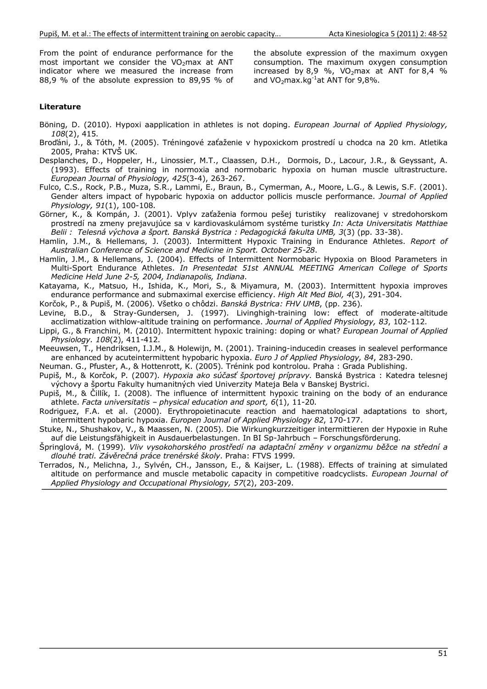From the point of endurance performance for the most important we consider the  $VO<sub>2</sub>$ max at ANT indicator where we measured the increase from 88,9 % of the absolute expression to 89,95 % of the absolute expression of the maximum oxygen consumption. The maximum oxygen consumption increased by 8.9 %, VO<sub>2</sub>max at ANT for 8.4 % and  $VO<sub>2</sub>max.kq<sup>-1</sup>at ANT for 9.8%.$ 

#### Literature

- Böning, D. (2010). Hypoxi aapplication in athletes is not doping. *European Journal of Applied Physiology, 108*(2), 415.
- Broďáni, J., & Tóth, M. (2005). Tréningové zaťaženie v hypoxickom prostredí u chodca na 20 km. Atletika 2005, Praha: KTVŠ UK.
- Desplanches, D., Hoppeler, H., Linossier, M.T., Claassen, D.H., Dormois, D., Lacour, J.R., & Geyssant, A. (1993). Effects of training in normoxia and normobaric hypoxia on human muscle ultrastructure. *European Journal of Physiology, 425*(3-4), 263-267.
- Fulco, C.S., Rock, P.B., Muza, S.R., Lammi, E., Braun, B., Cymerman, A., Moore, L.G., & Lewis, S.F. (2001). Gender alters impact of hypobaric hypoxia on adductor pollicis muscle performance. *Journal of Applied Physiology, 91*(1), 100-108.
- Görner, K., & Kompán, J. (2001). Vplyv zaťaženia formou pešej turistiky realizovanej v stredohorskom prostredí na zmeny prejavujúce sa v kardiovaskulárnom systéme turistky *In: Acta Universitatis Matthiae Belii : Telesná v*ý*chova a* š*port. Banská Bystrica : Pedagogická fakulta UMB, 3*(3) (pp. 33-38).
- Hamlin, J.M., & Hellemans, J. (2003). Intermittent Hypoxic Training in Endurance Athletes. *Report of Australian Conference of Science and Medicine in Sport. October 25-28*.
- Hamlin, J.M., & Hellemans, J. (2004). Effects of Intermittent Normobaric Hypoxia on Blood Parameters in Multi-Sport Endurance Athletes. *In Presentedat 51st ANNUAL MEETING American College of Sports Medicine Held June 2-5, 2004, Indianapolis, Indiana*.
- Katayama, K., Matsuo, H., Ishida, K., Mori, S., & Miyamura, M. (2003). Intermittent hypoxia improves endurance performance and submaximal exercise efficiency. *High Alt Med Biol, 4*(3), 291-304.
- Korčok, P., & Pupiš, M. (2006). Všetko o chôdzi. *Banská Bystrica: FHV UMB*, (pp. 236).
- Levine, B.D., & Stray-Gundersen, J. (1997). Livinghigh-training low: effect of moderate-altitude acclimatization withlow-altitude training on performance. *Journal of Applied Physiology, 83*, 102-112.
- Lippi, G., & Franchini, M. (2010). Intermittent hypoxic training: doping or what? *European Journal of Applied Physiology. 108*(2), 411-412.
- Meeuwsen, T., Hendriksen, I.J.M., & Holewijn, M. (2001). Training-inducedin creases in sealevel performance are enhanced by acuteintermittent hypobaric hypoxia. *Euro J of Applied Physiology, 84*, 283-290.
- Neuman. G., Pfuster, A., & Hottenrott, K. (2005). Trénink pod kontrolou. Praha : Grada Publishing.
- Pupiš, M., & Korčok, P. (2007). *Hypoxia ako súčasť športovej prípravy*. Banská Bystrica : Katedra telesnej výchovy a športu Fakulty humanitných vied Univerzity Mateja Bela v Banskej Bystrici.
- Pupiš, M., & Čillík, I. (2008). The influence of intermittent hypoxic training on the body of an endurance athlete. *Facta universitatis – physical education and sport, 6*(1), 11-20.
- Rodriguez, F.A. et al. (2000). Erythropoietinacute reaction and haematological adaptations to short, intermittent hypobaric hypoxia. *Europen Journal of Applied Physiology 82*, 170-177.
- Stuke, N., Shushakov, V., & Maassen, N. (2005). Die Wirkungkurzzeitiger intermittieren der Hypoxie in Ruhe auf die Leistungsfähigkeit in Ausdauerbelastungen. In BI Sp-Jahrbuch – Forschungsförderung.
- Špringlová, M. (1999). *Vliv vysokohorského prostředí na adaptační změny v organizmu běžce na střední a GORXKpWUDWL=iYČUHþQiSUiFe trenérské* š*koly*. Praha: FTVS 1999.
- Terrados, N., Melichna, J., Sylvén, CH., Jansson, E., & Kaijser, L. (1988). Effects of training at simulated altitude on performance and muscle metabolic capacity in competitive roadcyclists. *European Journal of Applied Physiology and Occupational Physiology, 57*(2), 203-209.